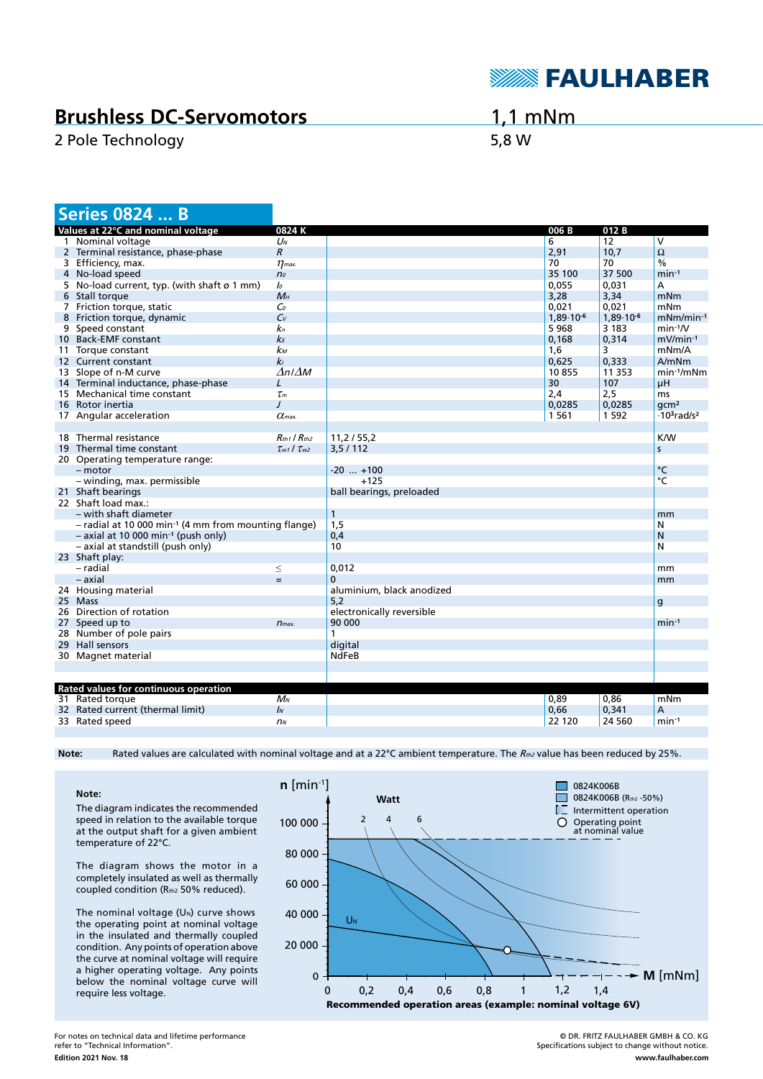

## **Brushless DC-Servomotors**

2 Pole Technology 6,8 W

1,1 mNm

| <b>Series 0824  B</b>                                            |                           |                           |                |                |                                            |
|------------------------------------------------------------------|---------------------------|---------------------------|----------------|----------------|--------------------------------------------|
| Values at 22°C and nominal voltage                               | 0824K                     |                           | 006 B          | 012B           |                                            |
| 1 Nominal voltage                                                | $U_N$                     |                           | 6              | 12             | V                                          |
| 2 Terminal resistance, phase-phase                               | $\overline{R}$            |                           | 2,91           | 10.7           | $\Omega$                                   |
| 3 Efficiency, max.                                               | $\eta$ <sub>max</sub> .   |                           | 70             | 70             | $\frac{0}{0}$                              |
| 4 No-load speed                                                  | n <sub>o</sub>            |                           | 35 100         | 37 500         | $min-1$                                    |
| 5 No-load current, typ. (with shaft ø 1 mm)                      | lo                        |                           | 0,055          | 0,031          | А                                          |
| 6 Stall torque                                                   | $M_H$                     |                           | 3,28           | 3,34           | mNm                                        |
| 7 Friction torque, static                                        | Co                        |                           | 0.021          | 0,021          | mNm                                        |
| 8 Friction torque, dynamic                                       | $C_{V}$                   |                           | $1,89.10^{-6}$ | $1,89.10^{-6}$ | $mNm/min^{-1}$                             |
| 9 Speed constant                                                 | k <sub>n</sub>            |                           | 5968           | 3 1 8 3        | $min-1/V$                                  |
| 10 Back-EMF constant                                             | kЕ                        |                           | 0,168          | 0,314          | mV/min-1                                   |
| 11 Torque constant                                               | kм                        |                           | 1.6            | 3              | mNm/A                                      |
| 12 Current constant                                              | kı                        |                           | 0,625          | 0,333          | A/mNm                                      |
| 13 Slope of n-M curve                                            | $\Delta n / \Delta M$     |                           | 10855          | 11 3 5 3       | $min^{-1}/mNm$                             |
| 14 Terminal inductance, phase-phase                              | L                         |                           | 30             | 107            | μH                                         |
| 15 Mechanical time constant                                      | $\tau_m$                  |                           | 2,4            | 2,5            | ms                                         |
| 16 Rotor inertia                                                 | J                         |                           | 0,0285         | 0,0285         | qcm <sup>2</sup>                           |
| 17 Angular acceleration                                          | $\alpha$ <sub>max</sub>   |                           | 1 5 6 1        | 1 5 9 2        | $\cdot$ 10 <sup>3</sup> rad/s <sup>2</sup> |
|                                                                  |                           |                           |                |                |                                            |
| 18 Thermal resistance                                            | $R_{th1}$ / $R_{th2}$     | 11,2/55,2                 |                |                | <b>K/W</b>                                 |
| 19 Thermal time constant                                         | $\tau_{w1}$ / $\tau_{w2}$ | 3,5/112                   |                |                | S                                          |
| 20 Operating temperature range:                                  |                           |                           |                |                |                                            |
| $-$ motor                                                        |                           | $-20$ $+100$              |                |                | °C                                         |
| - winding, max. permissible                                      |                           | $+125$                    |                |                | $\overline{C}$                             |
| 21 Shaft bearings                                                |                           | ball bearings, preloaded  |                |                |                                            |
| 22 Shaft load max.:                                              |                           |                           |                |                |                                            |
| – with shaft diameter                                            |                           | $\mathbf{1}$              |                |                | mm                                         |
| - radial at 10 000 min <sup>-1</sup> (4 mm from mounting flange) |                           | 1,5                       |                |                |                                            |
|                                                                  |                           | 0,4                       |                |                | N<br>N                                     |
| $-$ axial at 10 000 min <sup>-1</sup> (push only)                |                           |                           |                |                |                                            |
| - axial at standstill (push only)                                |                           | 10                        |                |                | N                                          |
| 23 Shaft play:                                                   |                           |                           |                |                |                                            |
| - radial                                                         | $\leq$                    | 0,012                     |                |                | mm                                         |
| – axial                                                          | $=$                       | $\mathbf 0$               |                |                | mm                                         |
| 24 Housing material                                              |                           | aluminium, black anodized |                |                |                                            |
| 25 Mass                                                          |                           | 5,2                       |                |                | g                                          |
| 26 Direction of rotation                                         |                           | electronically reversible |                |                |                                            |
| 27 Speed up to                                                   | $n_{max}$                 | 90 000                    |                |                | $min-1$                                    |
| 28 Number of pole pairs                                          |                           | 1                         |                |                |                                            |
| 29 Hall sensors                                                  |                           | digital                   |                |                |                                            |
| 30 Magnet material                                               |                           | <b>NdFeB</b>              |                |                |                                            |
|                                                                  |                           |                           |                |                |                                            |
|                                                                  |                           |                           |                |                |                                            |
| Rated values for continuous operation                            | $M_N$                     |                           |                | 0,86           |                                            |
| 31 Rated torque<br>32 Rated current (thermal limit)              | $\mathbf{I}_{N}$          |                           | 0,89<br>0.66   | 0.341          | mNm<br>A                                   |
|                                                                  |                           |                           |                | 24 560         |                                            |
| 33 Rated speed                                                   | n <sub>N</sub>            |                           | 22 120         |                | $min-1$                                    |

Note: Rated values are calculated with nominal voltage and at a 22°C ambient temperature. The R<sub>th2</sub> value has been reduced by 25%.

## **Note:**

The diagram indicates the recommended speed in relation to the available torque at the output shaft for a given ambient temperature of 22°C.

The diagram shows the motor in a completely insulated as well as thermally coupled condition (Rth2 50% reduced).

The nominal voltage  $(U<sub>N</sub>)$  curve shows the operating point at nominal voltage in the insulated and thermally coupled condition. Any points of operation above the curve at nominal voltage will require a higher operating voltage. Any points below the nominal voltage curve will require less voltage.